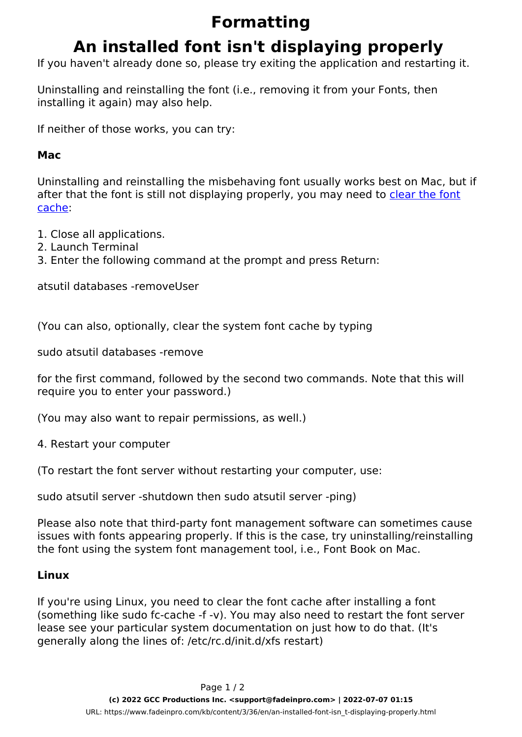## **Formatting**

# **An installed font isn't displaying properly**

If you haven't already done so, please try exiting the application and restarting it.

Uninstalling and reinstalling the font (i.e., removing it from your Fonts, then installing it again) may also help.

If neither of those works, you can try:

### **Mac**

Uninstalling and reinstalling the misbehaving font usually works best on Mac, but if after that the font is still not displaying properly, you may need to [clear the font](http://helpx.adobe.com/x-productkb/global/troubleshoot-fonts-mac-os-x.html) [cache](http://helpx.adobe.com/x-productkb/global/troubleshoot-fonts-mac-os-x.html):

- 1. Close all applications.
- 2. Launch Terminal
- 3. Enter the following command at the prompt and press Return:

atsutil databases -removeUser

(You can also, optionally, clear the system font cache by typing

sudo atsutil databases -remove

for the first command, followed by the second two commands. Note that this will require you to enter your password.)

(You may also want to repair permissions, as well.)

4. Restart your computer

(To restart the font server without restarting your computer, use:

sudo atsutil server -shutdown then sudo atsutil server -ping)

Please also note that third-party font management software can sometimes cause issues with fonts appearing properly. If this is the case, try uninstalling/reinstalling the font using the system font management tool, i.e., Font Book on Mac.

#### **Linux**

If you're using Linux, you need to clear the font cache after installing a font (something like sudo fc-cache -f -v). You may also need to restart the font server lease see your particular system documentation on just how to do that. (It's generally along the lines of: /etc/rc.d/init.d/xfs restart)